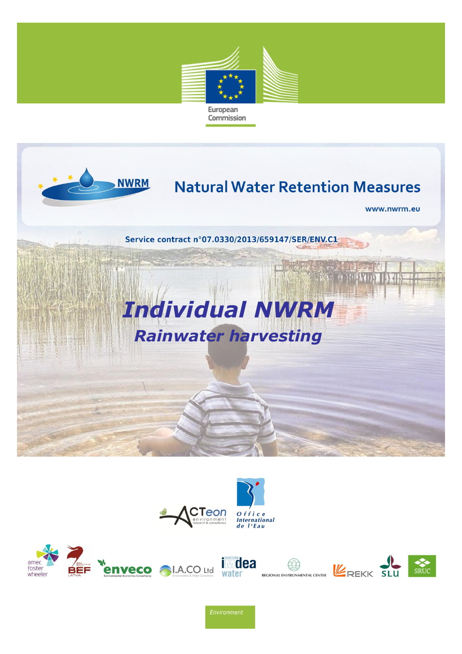





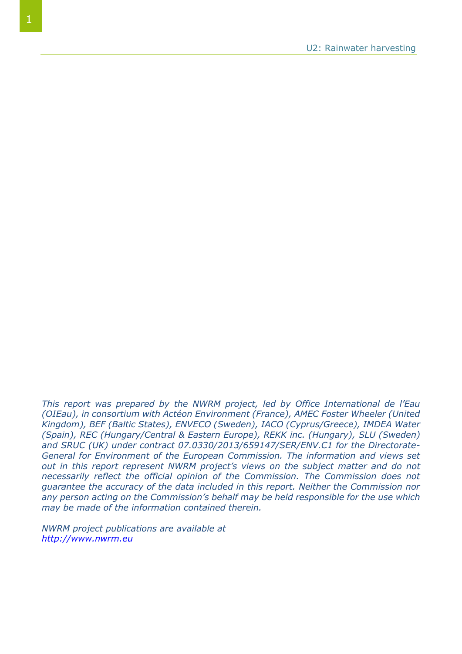*This report was prepared by the NWRM project, led by Office International de l'Eau (OIEau), in consortium with Actéon Environment (France), AMEC Foster Wheeler (United Kingdom), BEF (Baltic States), ENVECO (Sweden), IACO (Cyprus/Greece), IMDEA Water (Spain), REC (Hungary/Central & Eastern Europe), REKK inc. (Hungary), SLU (Sweden) and SRUC (UK) under contract 07.0330/2013/659147/SER/ENV.C1 for the Directorate-General for Environment of the European Commission. The information and views set out in this report represent NWRM project's views on the subject matter and do not necessarily reflect the official opinion of the Commission. The Commission does not guarantee the accuracy of the data included in this report. Neither the Commission nor any person acting on the Commission's behalf may be held responsible for the use which may be made of the information contained therein.*

*NWRM project publications are available at [http://www.nwrm.eu](http://www.nwrm.eu/)*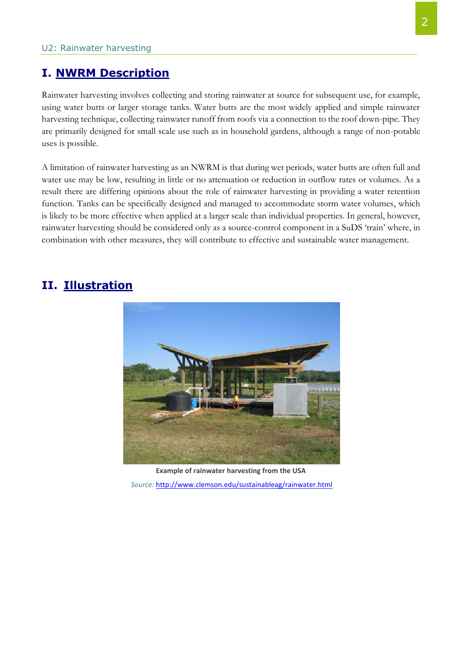#### **I. NWRM Description**

Rainwater harvesting involves collecting and storing rainwater at source for subsequent use, for example, using water butts or larger storage tanks. Water butts are the most widely applied and simple rainwater harvesting technique, collecting rainwater runoff from roofs via a connection to the roof down-pipe. They are primarily designed for small scale use such as in household gardens, although a range of non-potable uses is possible.

A limitation of rainwater harvesting as an NWRM is that during wet periods, water butts are often full and water use may be low, resulting in little or no attenuation or reduction in outflow rates or volumes. As a result there are differing opinions about the role of rainwater harvesting in providing a water retention function. Tanks can be specifically designed and managed to accommodate storm water volumes, which is likely to be more effective when applied at a larger scale than individual properties. In general, however, rainwater harvesting should be considered only as a source-control component in a SuDS 'train' where, in combination with other measures, they will contribute to effective and sustainable water management.

#### **II. Illustration**



**Example of rainwater harvesting from the USA** *Source:* <http://www.clemson.edu/sustainableag/rainwater.html>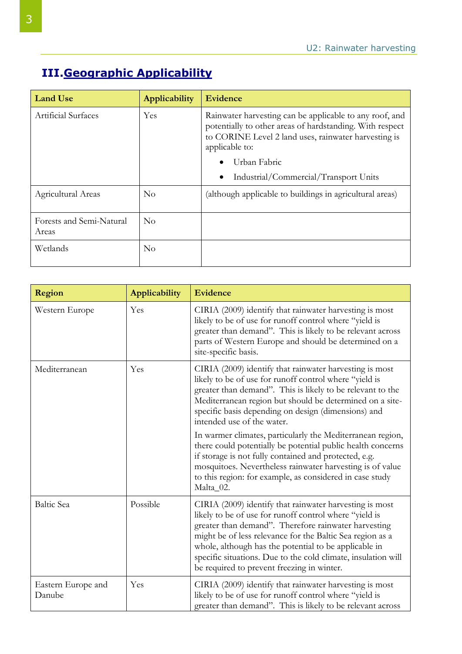## **III.Geographic Applicability**

| <b>Land Use</b>                   | Applicability | <b>Evidence</b>                                                                                                                                                                               |
|-----------------------------------|---------------|-----------------------------------------------------------------------------------------------------------------------------------------------------------------------------------------------|
| Artificial Surfaces               | Yes           | Rainwater harvesting can be applicable to any roof, and<br>potentially to other areas of hardstanding. With respect<br>to CORINE Level 2 land uses, rainwater harvesting is<br>applicable to: |
|                                   |               | Urban Fabric<br>$\bullet$                                                                                                                                                                     |
|                                   |               | Industrial/Commercial/Transport Units<br>$\bullet$                                                                                                                                            |
| Agricultural Areas                | No            | (although applicable to buildings in agricultural areas)                                                                                                                                      |
| Forests and Semi-Natural<br>Areas | $\rm No$      |                                                                                                                                                                                               |
| Wetlands                          | No            |                                                                                                                                                                                               |

| Region                       | <b>Applicability</b> | Evidence                                                                                                                                                                                                                                                                                                                                                                                                       |
|------------------------------|----------------------|----------------------------------------------------------------------------------------------------------------------------------------------------------------------------------------------------------------------------------------------------------------------------------------------------------------------------------------------------------------------------------------------------------------|
| Western Europe               | Yes                  | CIRIA (2009) identify that rainwater harvesting is most<br>likely to be of use for runoff control where "yield is<br>greater than demand". This is likely to be relevant across<br>parts of Western Europe and should be determined on a<br>site-specific basis.                                                                                                                                               |
| Mediterranean                | Yes                  | CIRIA (2009) identify that rainwater harvesting is most<br>likely to be of use for runoff control where "yield is<br>greater than demand". This is likely to be relevant to the<br>Mediterranean region but should be determined on a site-<br>specific basis depending on design (dimensions) and<br>intended use of the water.                                                                               |
|                              |                      | In warmer climates, particularly the Mediterranean region,<br>there could potentially be potential public health concerns<br>if storage is not fully contained and protected, e.g.<br>mosquitoes. Nevertheless rainwater harvesting is of value<br>to this region: for example, as considered in case study<br>Malta_02.                                                                                       |
| <b>Baltic Sea</b>            | Possible             | CIRIA (2009) identify that rainwater harvesting is most<br>likely to be of use for runoff control where "yield is<br>greater than demand". Therefore rainwater harvesting<br>might be of less relevance for the Baltic Sea region as a<br>whole, although has the potential to be applicable in<br>specific situations. Due to the cold climate, insulation will<br>be required to prevent freezing in winter. |
| Eastern Europe and<br>Danube | Yes                  | CIRIA (2009) identify that rainwater harvesting is most<br>likely to be of use for runoff control where "yield is<br>greater than demand". This is likely to be relevant across                                                                                                                                                                                                                                |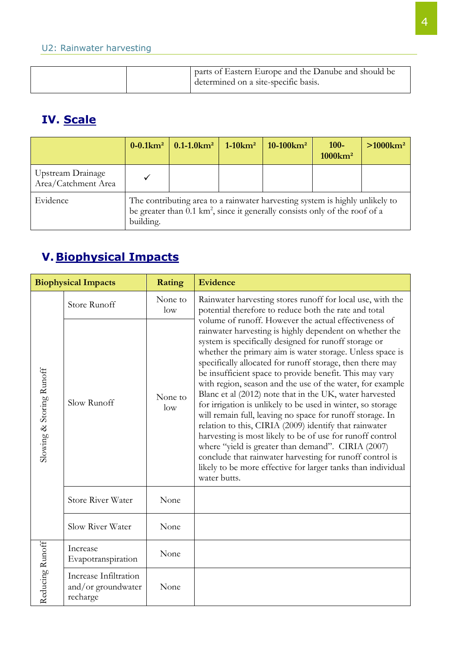|  | parts of Eastern Europe and the Danube and should be<br>determined on a site-specific basis. |
|--|----------------------------------------------------------------------------------------------|

# **IV. Scale**

|                                          | $0 - 0.1$ $km2$ | $\sqrt{0.1 - 1.0 \text{km}^2}$                                                                                                                                         | $1-10km^2$ | $10-100$ km <sup>2</sup> | $100 -$<br>$1000 \mathrm{km}^2$ | $>1000$ km <sup>2</sup> |
|------------------------------------------|-----------------|------------------------------------------------------------------------------------------------------------------------------------------------------------------------|------------|--------------------------|---------------------------------|-------------------------|
| Upstream Drainage<br>Area/Catchment Area |                 |                                                                                                                                                                        |            |                          |                                 |                         |
| Evidence                                 | building.       | The contributing area to a rainwater harvesting system is highly unlikely to<br>be greater than $0.1 \text{ km}^2$ , since it generally consists only of the roof of a |            |                          |                                 |                         |

# **V. Biophysical Impacts**

|                          | <b>Biophysical Impacts</b>                              | <b>Rating</b>     | Evidence                                                                                                                                                                                                                                                                                                                                                                                                                                                                                                                                                                                                                                                                                                                                                                                                                                                                                                                                    |
|--------------------------|---------------------------------------------------------|-------------------|---------------------------------------------------------------------------------------------------------------------------------------------------------------------------------------------------------------------------------------------------------------------------------------------------------------------------------------------------------------------------------------------------------------------------------------------------------------------------------------------------------------------------------------------------------------------------------------------------------------------------------------------------------------------------------------------------------------------------------------------------------------------------------------------------------------------------------------------------------------------------------------------------------------------------------------------|
|                          | Store Runoff                                            | None to<br>low    | Rainwater harvesting stores runoff for local use, with the<br>potential therefore to reduce both the rate and total                                                                                                                                                                                                                                                                                                                                                                                                                                                                                                                                                                                                                                                                                                                                                                                                                         |
| Slowing & Storing Runoff | Slow Runoff                                             | None to<br>$\log$ | volume of runoff. However the actual effectiveness of<br>rainwater harvesting is highly dependent on whether the<br>system is specifically designed for runoff storage or<br>whether the primary aim is water storage. Unless space is<br>specifically allocated for runoff storage, then there may<br>be insufficient space to provide benefit. This may vary<br>with region, season and the use of the water, for example<br>Blanc et al (2012) note that in the UK, water harvested<br>for irrigation is unlikely to be used in winter, so storage<br>will remain full, leaving no space for runoff storage. In<br>relation to this, CIRIA (2009) identify that rainwater<br>harvesting is most likely to be of use for runoff control<br>where "yield is greater than demand". CIRIA (2007)<br>conclude that rainwater harvesting for runoff control is<br>likely to be more effective for larger tanks than individual<br>water butts. |
|                          | <b>Store River Water</b>                                | None              |                                                                                                                                                                                                                                                                                                                                                                                                                                                                                                                                                                                                                                                                                                                                                                                                                                                                                                                                             |
|                          | Slow River Water                                        | None              |                                                                                                                                                                                                                                                                                                                                                                                                                                                                                                                                                                                                                                                                                                                                                                                                                                                                                                                                             |
|                          | Increase<br>Evapotranspiration                          | None              |                                                                                                                                                                                                                                                                                                                                                                                                                                                                                                                                                                                                                                                                                                                                                                                                                                                                                                                                             |
| Reducing Runoff          | Increase Infiltration<br>and/or groundwater<br>recharge | None              |                                                                                                                                                                                                                                                                                                                                                                                                                                                                                                                                                                                                                                                                                                                                                                                                                                                                                                                                             |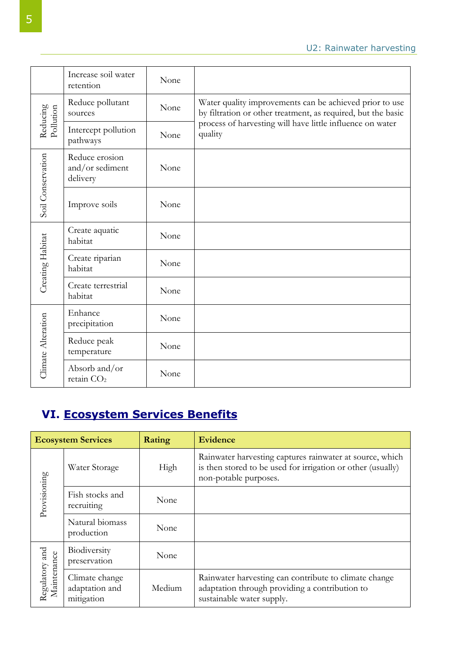|                       | Increase soil water<br>retention              | None |                                                                                                                         |
|-----------------------|-----------------------------------------------|------|-------------------------------------------------------------------------------------------------------------------------|
| Reducing<br>Pollution | Reduce pollutant<br>sources                   | None | Water quality improvements can be achieved prior to use<br>by filtration or other treatment, as required, but the basic |
|                       | Intercept pollution<br>pathways               | None | process of harvesting will have little influence on water<br>quality                                                    |
| Soil Conservation     | Reduce erosion<br>and/or sediment<br>delivery | None |                                                                                                                         |
|                       | Improve soils                                 | None |                                                                                                                         |
|                       | Create aquatic<br>habitat                     | None |                                                                                                                         |
| Creating Habitat      | Create riparian<br>habitat                    | None |                                                                                                                         |
|                       | Create terrestrial<br>habitat                 | None |                                                                                                                         |
| Climate Alteration    | Enhance<br>precipitation                      | None |                                                                                                                         |
|                       | Reduce peak<br>temperature                    | None |                                                                                                                         |
|                       | Absorb and/or<br>retain CO <sub>2</sub>       | None |                                                                                                                         |

## **VI. Ecosystem Services Benefits**

|                               | <b>Ecosystem Services</b>                      | Rating | <b>Evidence</b>                                                                                                                                  |
|-------------------------------|------------------------------------------------|--------|--------------------------------------------------------------------------------------------------------------------------------------------------|
|                               | Water Storage                                  | High   | Rainwater harvesting captures rainwater at source, which<br>is then stored to be used for irrigation or other (usually)<br>non-potable purposes. |
| Provisioning                  | Fish stocks and<br>recruiting                  | None   |                                                                                                                                                  |
|                               | Natural biomass<br>production                  | None   |                                                                                                                                                  |
| Biodiversity<br>preservation  | None                                           |        |                                                                                                                                                  |
| Regulatory and<br>Maintenance | Climate change<br>adaptation and<br>mitigation | Medium | Rainwater harvesting can contribute to climate change<br>adaptation through providing a contribution to<br>sustainable water supply.             |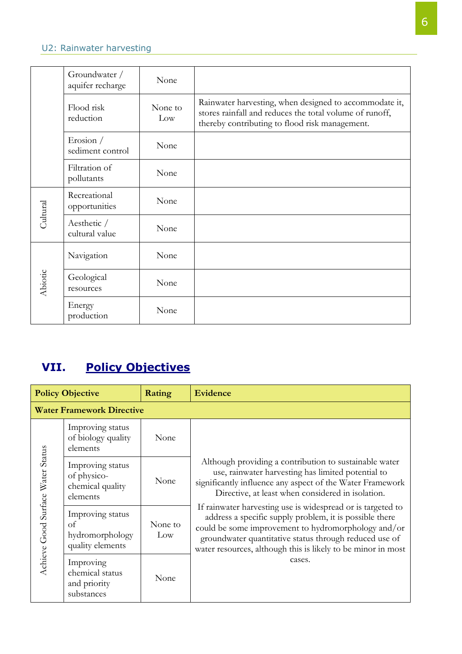#### U2: Rainwater harvesting

|          | Groundwater /<br>aquifer recharge | None           |                                                                                                                                                                     |
|----------|-----------------------------------|----------------|---------------------------------------------------------------------------------------------------------------------------------------------------------------------|
|          | Flood risk<br>reduction           | None to<br>Low | Rainwater harvesting, when designed to accommodate it,<br>stores rainfall and reduces the total volume of runoff,<br>thereby contributing to flood risk management. |
|          | Erosion $/$<br>sediment control   | None           |                                                                                                                                                                     |
|          | Filtration of<br>pollutants       | None           |                                                                                                                                                                     |
| Cultural | Recreational<br>opportunities     | None           |                                                                                                                                                                     |
|          | Aesthetic /<br>cultural value     | None           |                                                                                                                                                                     |
|          | Navigation                        | None           |                                                                                                                                                                     |
| Abiotic  | Geological<br>resources           | None           |                                                                                                                                                                     |
|          | Energy<br>production              | None           |                                                                                                                                                                     |

## **VII. Policy Objectives**

|                                   | <b>Policy Objective</b>                                         | Rating         | <b>Evidence</b>                                                                                                                                                                                                                                                                                         |
|-----------------------------------|-----------------------------------------------------------------|----------------|---------------------------------------------------------------------------------------------------------------------------------------------------------------------------------------------------------------------------------------------------------------------------------------------------------|
|                                   | <b>Water Framework Directive</b>                                |                |                                                                                                                                                                                                                                                                                                         |
|                                   | Improving status<br>of biology quality<br>elements              | None           |                                                                                                                                                                                                                                                                                                         |
|                                   | Improving status<br>of physico-<br>chemical quality<br>elements | None           | Although providing a contribution to sustainable water<br>use, rainwater harvesting has limited potential to<br>significantly influence any aspect of the Water Framework<br>Directive, at least when considered in isolation.                                                                          |
| Achieve Good Surface Water Status | Improving status<br>οf<br>hydromorphology<br>quality elements   | None to<br>Low | If rainwater harvesting use is widespread or is targeted to<br>address a specific supply problem, it is possible there<br>could be some improvement to hydromorphology and/or<br>groundwater quantitative status through reduced use of<br>water resources, although this is likely to be minor in most |
|                                   | Improving<br>chemical status<br>and priority<br>substances      | None           | cases.                                                                                                                                                                                                                                                                                                  |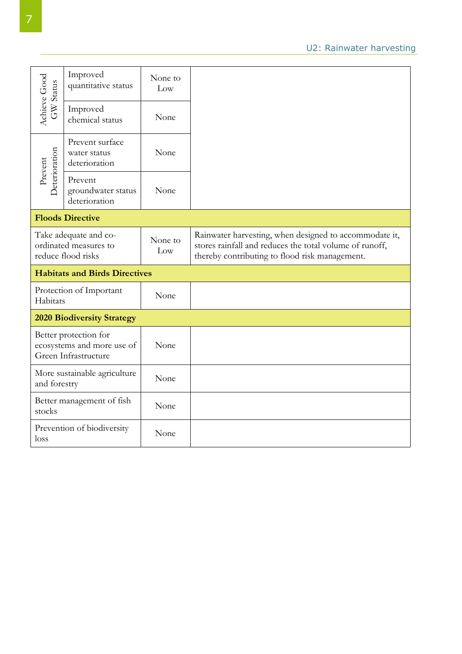|                           | Improved<br>quantitative status                                             | None to<br>Low |                                                                                                                                                                     |
|---------------------------|-----------------------------------------------------------------------------|----------------|---------------------------------------------------------------------------------------------------------------------------------------------------------------------|
| Achieve Good<br>GW Status | Improved<br>chemical status                                                 | None           |                                                                                                                                                                     |
|                           | Prevent surface<br>water status<br>deterioration                            | None           |                                                                                                                                                                     |
| Deterioration<br>Prevent  | Prevent<br>groundwater status<br>deterioration                              | None           |                                                                                                                                                                     |
|                           | <b>Floods Directive</b>                                                     |                |                                                                                                                                                                     |
|                           | Take adequate and co-<br>ordinated measures to<br>reduce flood risks        | None to<br>Low | Rainwater harvesting, when designed to accommodate it,<br>stores rainfall and reduces the total volume of runoff,<br>thereby contributing to flood risk management. |
|                           | <b>Habitats and Birds Directives</b>                                        |                |                                                                                                                                                                     |
| Habitats                  | Protection of Important                                                     | None           |                                                                                                                                                                     |
|                           | <b>2020 Biodiversity Strategy</b>                                           |                |                                                                                                                                                                     |
|                           | Better protection for<br>ecosystems and more use of<br>Green Infrastructure | None           |                                                                                                                                                                     |
| and forestry              | More sustainable agriculture                                                | None           |                                                                                                                                                                     |
| stocks                    | Better management of fish                                                   | None           |                                                                                                                                                                     |
| loss                      | Prevention of biodiversity                                                  | None           |                                                                                                                                                                     |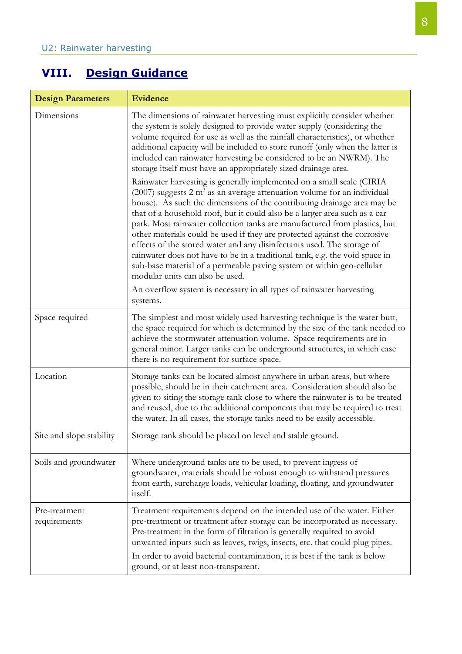## **VIII. Design Guidance**

| <b>Design Parameters</b>      | <b>Evidence</b>                                                                                                                                                                                                                                                                                                                                                                                                                                                                                                                                                                                                                                                                                                                                        |
|-------------------------------|--------------------------------------------------------------------------------------------------------------------------------------------------------------------------------------------------------------------------------------------------------------------------------------------------------------------------------------------------------------------------------------------------------------------------------------------------------------------------------------------------------------------------------------------------------------------------------------------------------------------------------------------------------------------------------------------------------------------------------------------------------|
| Dimensions                    | The dimensions of rainwater harvesting must explicitly consider whether<br>the system is solely designed to provide water supply (considering the<br>volume required for use as well as the rainfall characteristics), or whether<br>additional capacity will be included to store runoff (only when the latter is<br>included can rainwater harvesting be considered to be an NWRM). The<br>storage itself must have an appropriately sized drainage area.                                                                                                                                                                                                                                                                                            |
|                               | Rainwater harvesting is generally implemented on a small scale (CIRIA<br>$(2007)$ suggests 2 m <sup>3</sup> as an average attenuation volume for an individual<br>house). As such the dimensions of the contributing drainage area may be<br>that of a household roof, but it could also be a larger area such as a car<br>park. Most rainwater collection tanks are manufactured from plastics, but<br>other materials could be used if they are protected against the corrosive<br>effects of the stored water and any disinfectants used. The storage of<br>rainwater does not have to be in a traditional tank, e.g. the void space in<br>sub-base material of a permeable paving system or within geo-cellular<br>modular units can also be used. |
|                               | An overflow system is necessary in all types of rainwater harvesting<br>systems.                                                                                                                                                                                                                                                                                                                                                                                                                                                                                                                                                                                                                                                                       |
| Space required                | The simplest and most widely used harvesting technique is the water butt,<br>the space required for which is determined by the size of the tank needed to<br>achieve the stormwater attenuation volume. Space requirements are in<br>general minor. Larger tanks can be underground structures, in which case<br>there is no requirement for surface space.                                                                                                                                                                                                                                                                                                                                                                                            |
| Location                      | Storage tanks can be located almost anywhere in urban areas, but where<br>possible, should be in their catchment area. Consideration should also be<br>given to siting the storage tank close to where the rainwater is to be treated<br>and reused, due to the additional components that may be required to treat<br>the water. In all cases, the storage tanks need to be easily accessible.                                                                                                                                                                                                                                                                                                                                                        |
| Site and slope stability      | Storage tank should be placed on level and stable ground.                                                                                                                                                                                                                                                                                                                                                                                                                                                                                                                                                                                                                                                                                              |
| Soils and groundwater         | Where underground tanks are to be used, to prevent ingress of<br>groundwater, materials should be robust enough to withstand pressures<br>from earth, surcharge loads, vehicular loading, floating, and groundwater<br><i>itself.</i>                                                                                                                                                                                                                                                                                                                                                                                                                                                                                                                  |
| Pre-treatment<br>requirements | Treatment requirements depend on the intended use of the water. Either<br>pre-treatment or treatment after storage can be incorporated as necessary.<br>Pre-treatment in the form of filtration is generally required to avoid<br>unwanted inputs such as leaves, twigs, insects, etc. that could plug pipes.<br>In order to avoid bacterial contamination, it is best if the tank is below<br>ground, or at least non-transparent.                                                                                                                                                                                                                                                                                                                    |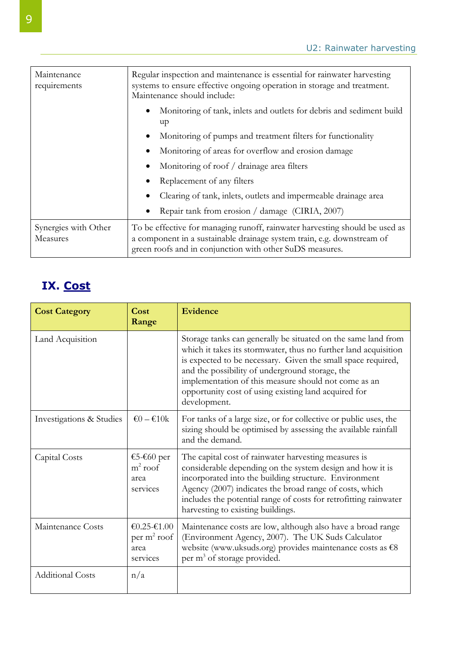| Maintenance<br>requirements      | Regular inspection and maintenance is essential for rainwater harvesting<br>systems to ensure effective ongoing operation in storage and treatment.<br>Maintenance should include:                                |  |
|----------------------------------|-------------------------------------------------------------------------------------------------------------------------------------------------------------------------------------------------------------------|--|
|                                  | Monitoring of tank, inlets and outlets for debris and sediment build<br>up                                                                                                                                        |  |
|                                  | Monitoring of pumps and treatment filters for functionality                                                                                                                                                       |  |
|                                  | Monitoring of areas for overflow and erosion damage                                                                                                                                                               |  |
|                                  | Monitoring of roof / drainage area filters                                                                                                                                                                        |  |
|                                  | Replacement of any filters                                                                                                                                                                                        |  |
|                                  | Clearing of tank, inlets, outlets and impermeable drainage area                                                                                                                                                   |  |
|                                  | Repair tank from erosion / damage (CIRIA, 2007)                                                                                                                                                                   |  |
| Synergies with Other<br>Measures | To be effective for managing runoff, rainwater harvesting should be used as<br>a component in a sustainable drainage system train, e.g. downstream of<br>green roofs and in conjunction with other SuDS measures. |  |

## **IX. Cost**

| <b>Cost Category</b>     | Cost<br>Range                                      | Evidence                                                                                                                                                                                                                                                                                                                                                                            |
|--------------------------|----------------------------------------------------|-------------------------------------------------------------------------------------------------------------------------------------------------------------------------------------------------------------------------------------------------------------------------------------------------------------------------------------------------------------------------------------|
| Land Acquisition         |                                                    | Storage tanks can generally be situated on the same land from<br>which it takes its stormwater, thus no further land acquisition<br>is expected to be necessary. Given the small space required,<br>and the possibility of underground storage, the<br>implementation of this measure should not come as an<br>opportunity cost of using existing land acquired for<br>development. |
| Investigations & Studies | $\epsilon$ 0 – $\epsilon$ 10 k                     | For tanks of a large size, or for collective or public uses, the<br>sizing should be optimised by assessing the available rainfall<br>and the demand.                                                                                                                                                                                                                               |
| Capital Costs            | €5-€60 per<br>$m^2$ roof<br>area<br>services       | The capital cost of rainwater harvesting measures is<br>considerable depending on the system design and how it is<br>incorporated into the building structure. Environment<br>Agency (2007) indicates the broad range of costs, which<br>includes the potential range of costs for retrofitting rainwater<br>harvesting to existing buildings.                                      |
| Maintenance Costs        | $€0.25-€1.00$<br>$per m2$ roof<br>area<br>services | Maintenance costs are low, although also have a broad range<br>(Environment Agency, 2007). The UK Suds Calculator<br>website (www.uksuds.org) provides maintenance costs as €8<br>per m <sup>3</sup> of storage provided.                                                                                                                                                           |
| <b>Additional Costs</b>  | n/a                                                |                                                                                                                                                                                                                                                                                                                                                                                     |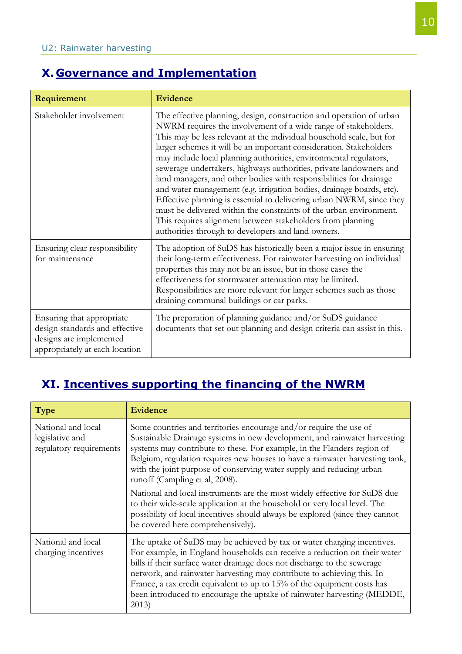#### **X. Governance and Implementation**

| Requirement                                                                                                              | <b>Evidence</b>                                                                                                                                                                                                                                                                                                                                                                                                                                                                                                                                                                                                                                                                                                                                                                                                                                |
|--------------------------------------------------------------------------------------------------------------------------|------------------------------------------------------------------------------------------------------------------------------------------------------------------------------------------------------------------------------------------------------------------------------------------------------------------------------------------------------------------------------------------------------------------------------------------------------------------------------------------------------------------------------------------------------------------------------------------------------------------------------------------------------------------------------------------------------------------------------------------------------------------------------------------------------------------------------------------------|
| Stakeholder involvement                                                                                                  | The effective planning, design, construction and operation of urban<br>NWRM requires the involvement of a wide range of stakeholders.<br>This may be less relevant at the individual household scale, but for<br>larger schemes it will be an important consideration. Stakeholders<br>may include local planning authorities, environmental regulators,<br>sewerage undertakers, highways authorities, private landowners and<br>land managers, and other bodies with responsibilities for drainage<br>and water management (e.g. irrigation bodies, drainage boards, etc).<br>Effective planning is essential to delivering urban NWRM, since they<br>must be delivered within the constraints of the urban environment.<br>This requires alignment between stakeholders from planning<br>authorities through to developers and land owners. |
| Ensuring clear responsibility<br>for maintenance                                                                         | The adoption of SuDS has historically been a major issue in ensuring<br>their long-term effectiveness. For rainwater harvesting on individual<br>properties this may not be an issue, but in those cases the<br>effectiveness for stormwater attenuation may be limited.<br>Responsibilities are more relevant for larger schemes such as those<br>draining communal buildings or car parks.                                                                                                                                                                                                                                                                                                                                                                                                                                                   |
| Ensuring that appropriate<br>design standards and effective<br>designs are implemented<br>appropriately at each location | The preparation of planning guidance and/or SuDS guidance<br>documents that set out planning and design criteria can assist in this.                                                                                                                                                                                                                                                                                                                                                                                                                                                                                                                                                                                                                                                                                                           |

#### **XI. Incentives supporting the financing of the NWRM**

| <b>Type</b>                                                      | <b>Evidence</b>                                                                                                                                                                                                                                                                                                                                                                                                                                                           |
|------------------------------------------------------------------|---------------------------------------------------------------------------------------------------------------------------------------------------------------------------------------------------------------------------------------------------------------------------------------------------------------------------------------------------------------------------------------------------------------------------------------------------------------------------|
| National and local<br>legislative and<br>regulatory requirements | Some countries and territories encourage and/or require the use of<br>Sustainable Drainage systems in new development, and rainwater harvesting<br>systems may contribute to these. For example, in the Flanders region of<br>Belgium, regulation requires new houses to have a rainwater harvesting tank,<br>with the joint purpose of conserving water supply and reducing urban<br>runoff (Campling et al, 2008).                                                      |
|                                                                  | National and local instruments are the most widely effective for SuDS due<br>to their wide-scale application at the household or very local level. The<br>possibility of local incentives should always be explored (since they cannot<br>be covered here comprehensively).                                                                                                                                                                                               |
| National and local<br>charging incentives                        | The uptake of SuDS may be achieved by tax or water charging incentives.<br>For example, in England households can receive a reduction on their water<br>bills if their surface water drainage does not discharge to the sewerage<br>network, and rainwater harvesting may contribute to achieving this. In<br>France, a tax credit equivalent to up to 15% of the equipment costs has<br>been introduced to encourage the uptake of rainwater harvesting (MEDDE,<br>2013) |